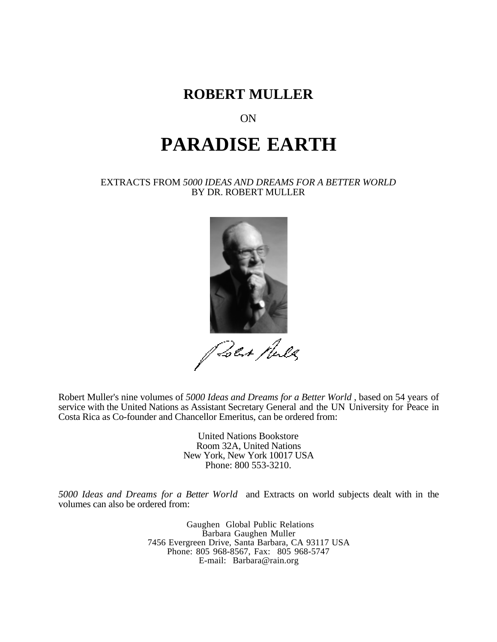

# ON

# **PARADISE EARTH**

#### EXTRACTS FROM *5000 IDEAS AND DREAMS FOR A BETTER WORLD* BY DR. ROBERT MULLER



Poet Mules

Robert Muller's nine volumes of *5000 Ideas and Dreams for a Better World* , based on 54 years of service with the United Nations as Assistant Secretary General and the UN University for Peace in Costa Rica as Co-founder and Chancellor Emeritus, can be ordered from:

> United Nations Bookstore Room 32A, United Nations New York, New York 10017 USA Phone: 800 553-3210.

*5000 Ideas and Dreams for a Better World* and Extracts on world subjects dealt with in the volumes can also be ordered from:

> Gaughen Global Public Relations Barbara Gaughen Muller 7456 Evergreen Drive, Santa Barbara, CA 93117 USA Phone: 805 968-8567, Fax: 805 968-5747 E-mail: Barbara@rain.org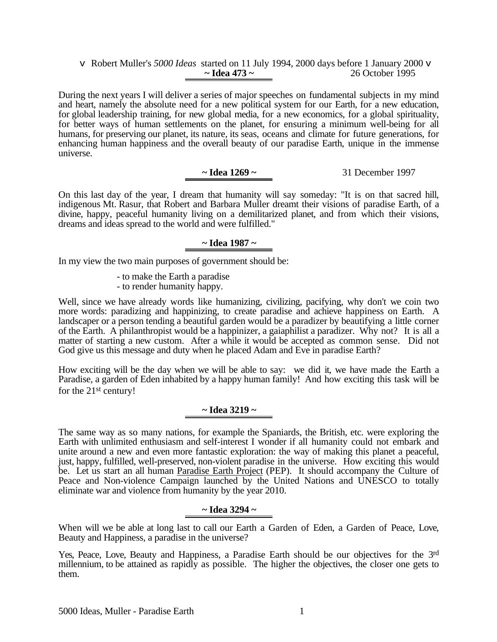#### v Robert Muller's *5000 Ideas* started on 11 July 1994, 2000 days before 1 January 2000 v **~ Idea 473 ~** 26 October 1995

During the next years I will deliver a series of major speeches on fundamental subjects in my mind and heart, namely the absolute need for a new political system for our Earth, for a new education, for global leadership training, for new global media, for a new economics, for a global spirituality, for better ways of human settlements on the planet, for ensuring a minimum well-being for all humans, for preserving our planet, its nature, its seas, oceans and climate for future generations, for enhancing human happiness and the overall beauty of our paradise Earth, unique in the immense universe.

# **~ Idea 1269 ~** 31 December 1997

On this last day of the year, I dream that humanity will say someday: "It is on that sacred hill, indigenous Mt. Rasur, that Robert and Barbara Muller dreamt their visions of paradise Earth, of a divine, happy, peaceful humanity living on a demilitarized planet, and from which their visions, dreams and ideas spread to the world and were fulfilled."

# **~ Idea 1987 ~**

In my view the two main purposes of government should be:

- to make the Earth a paradise
- to render humanity happy.

Well, since we have already words like humanizing, civilizing, pacifying, why don't we coin two more words: paradizing and happinizing, to create paradise and achieve happiness on Earth. A landscaper or a person tending a beautiful garden would be a paradizer by beautifying a little corner of the Earth. A philanthropist would be a happinizer, a gaiaphilist a paradizer. Why not? It is all a matter of starting a new custom. After a while it would be accepted as common sense. Did not God give us this message and duty when he placed Adam and Eve in paradise Earth?

How exciting will be the day when we will be able to say: we did it, we have made the Earth a Paradise, a garden of Eden inhabited by a happy human family! And how exciting this task will be for the 21st century!

## **~ Idea 3219 ~**

The same way as so many nations, for example the Spaniards, the British, etc. were exploring the Earth with unlimited enthusiasm and self-interest I wonder if all humanity could not embark and unite around a new and even more fantastic exploration: the way of making this planet a peaceful, just, happy, fulfilled, well-preserved, non-violent paradise in the universe. How exciting this would be. Let us start an all human Paradise Earth Project (PEP). It should accompany the Culture of Peace and Non-violence Campaign launched by the United Nations and UNESCO to totally eliminate war and violence from humanity by the year 2010.

## **~ Idea 3294 ~**

When will we be able at long last to call our Earth a Garden of Eden, a Garden of Peace, Love, Beauty and Happiness, a paradise in the universe?

Yes, Peace, Love, Beauty and Happiness, a Paradise Earth should be our objectives for the 3rd millennium, to be attained as rapidly as possible. The higher the objectives, the closer one gets to them.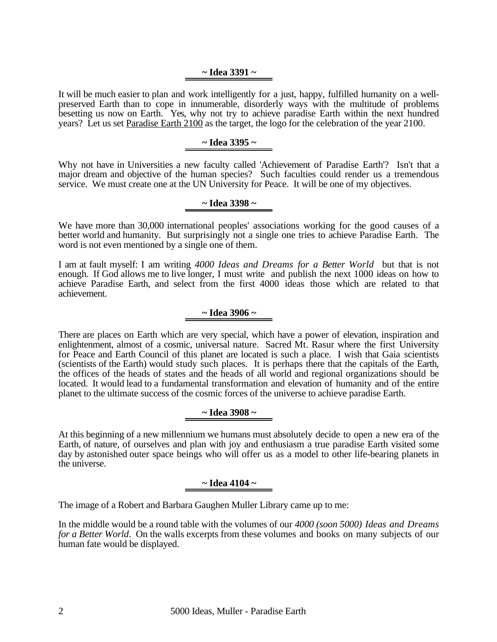#### **~ Idea 3391 ~**

It will be much easier to plan and work intelligently for a just, happy, fulfilled humanity on a wellpreserved Earth than to cope in innumerable, disorderly ways with the multitude of problems besetting us now on Earth. Yes, why not try to achieve paradise Earth within the next hundred years? Let us set Paradise Earth 2100 as the target, the logo for the celebration of the year 2100.

#### **~ Idea 3395 ~**

Why not have in Universities a new faculty called 'Achievement of Paradise Earth'? Isn't that a major dream and objective of the human species? Such faculties could render us a tremendous service. We must create one at the UN University for Peace. It will be one of my objectives.

## **~ Idea 3398 ~**

We have more than 30,000 international peoples' associations working for the good causes of a better world and humanity. But surprisingly not a single one tries to achieve Paradise Earth. The word is not even mentioned by a single one of them.

I am at fault myself: I am writing *4000 Ideas and Dreams for a Better World* but that is not enough. If God allows me to live longer, I must write and publish the next 1000 ideas on how to achieve Paradise Earth, and select from the first 4000 ideas those which are related to that achievement.

#### **~ Idea 3906 ~**

There are places on Earth which are very special, which have a power of elevation, inspiration and enlightenment, almost of a cosmic, universal nature. Sacred Mt. Rasur where the first University for Peace and Earth Council of this planet are located is such a place. I wish that Gaia scientists (scientists of the Earth) would study such places. It is perhaps there that the capitals of the Earth, the offices of the heads of states and the heads of all world and regional organizations should be located. It would lead to a fundamental transformation and elevation of humanity and of the entire planet to the ultimate success of the cosmic forces of the universe to achieve paradise Earth.

## **~ Idea 3908 ~**

At this beginning of a new millennium we humans must absolutely decide to open a new era of the Earth, of nature, of ourselves and plan with joy and enthusiasm a true paradise Earth visited some day by astonished outer space beings who will offer us as a model to other life-bearing planets in the universe.

## **~ Idea 4104 ~**

The image of a Robert and Barbara Gaughen Muller Library came up to me:

In the middle would be a round table with the volumes of our *4000 (soon 5000) Ideas and Dreams for a Better World*. On the walls excerpts from these volumes and books on many subjects of our human fate would be displayed.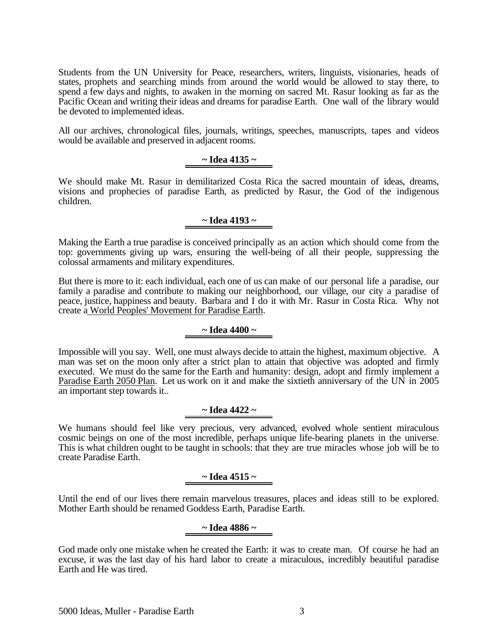Students from the UN University for Peace, researchers, writers, linguists, visionaries, heads of states, prophets and searching minds from around the world would be allowed to stay there, to spend a few days and nights, to awaken in the morning on sacred Mt. Rasur looking as far as the Pacific Ocean and writing their ideas and dreams for paradise Earth. One wall of the library would be devoted to implemented ideas.

All our archives, chronological files, journals, writings, speeches, manuscripts, tapes and videos would be available and preserved in adjacent rooms.

# **~ Idea 4135 ~**

We should make Mt. Rasur in demilitarized Costa Rica the sacred mountain of ideas, dreams, visions and prophecies of paradise Earth, as predicted by Rasur, the God of the indigenous children.

#### **~ Idea 4193 ~**

Making the Earth a true paradise is conceived principally as an action which should come from the top: governments giving up wars, ensuring the well-being of all their people, suppressing the colossal armaments and military expenditures.

But there is more to it: each individual, each one of us can make of our personal life a paradise, our family a paradise and contribute to making our neighborhood, our village, our city a paradise of peace, justice, happiness and beauty. Barbara and I do it with Mr. Rasur in Costa Rica. Why not create a World Peoples' Movement for Paradise Earth.

#### **~ Idea 4400 ~**

Impossible will you say. Well, one must always decide to attain the highest, maximum objective. A man was set on the moon only after a strict plan to attain that objective was adopted and firmly executed. We must do the same for the Earth and humanity: design, adopt and firmly implement a Paradise Earth 2050 Plan. Let us work on it and make the sixtieth anniversary of the UN in 2005 an important step towards it..

## **~ Idea 4422 ~**

We humans should feel like very precious, very advanced, evolved whole sentient miraculous cosmic beings on one of the most incredible, perhaps unique life-bearing planets in the universe. This is what children ought to be taught in schools: that they are true miracles whose job will be to create Paradise Earth.

## **~ Idea 4515 ~**

Until the end of our lives there remain marvelous treasures, places and ideas still to be explored. Mother Earth should be renamed Goddess Earth, Paradise Earth.

## **~ Idea 4886 ~**

God made only one mistake when he created the Earth: it was to create man. Of course he had an excuse, it was the last day of his hard labor to create a miraculous, incredibly beautiful paradise Earth and He was tired.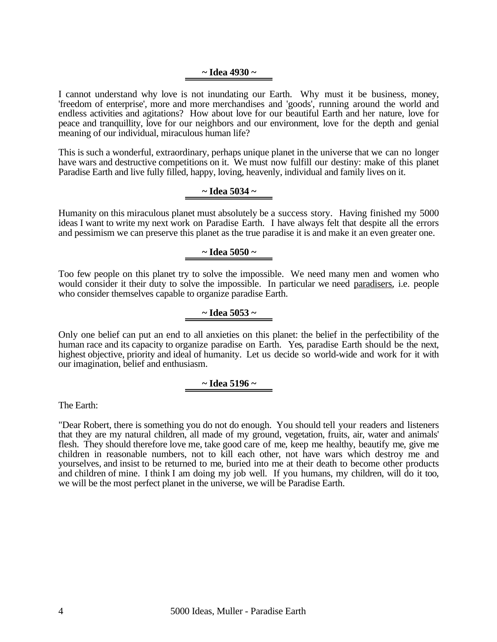#### **~ Idea 4930 ~**

I cannot understand why love is not inundating our Earth. Why must it be business, money, 'freedom of enterprise', more and more merchandises and 'goods', running around the world and endless activities and agitations? How about love for our beautiful Earth and her nature, love for peace and tranquillity, love for our neighbors and our environment, love for the depth and genial meaning of our individual, miraculous human life?

This is such a wonderful, extraordinary, perhaps unique planet in the universe that we can no longer have wars and destructive competitions on it. We must now fulfill our destiny: make of this planet Paradise Earth and live fully filled, happy, loving, heavenly, individual and family lives on it.

#### **~ Idea 5034 ~**

Humanity on this miraculous planet must absolutely be a success story. Having finished my 5000 ideas I want to write my next work on Paradise Earth. I have always felt that despite all the errors and pessimism we can preserve this planet as the true paradise it is and make it an even greater one.

#### **~ Idea 5050 ~**

Too few people on this planet try to solve the impossible. We need many men and women who would consider it their duty to solve the impossible. In particular we need paradisers, i.e. people who consider themselves capable to organize paradise Earth.

#### **~ Idea 5053 ~**

Only one belief can put an end to all anxieties on this planet: the belief in the perfectibility of the human race and its capacity to organize paradise on Earth. Yes, paradise Earth should be the next, highest objective, priority and ideal of humanity. Let us decide so world-wide and work for it with our imagination, belief and enthusiasm.

#### **~ Idea 5196 ~**

The Earth:

"Dear Robert, there is something you do not do enough. You should tell your readers and listeners that they are my natural children, all made of my ground, vegetation, fruits, air, water and animals' flesh. They should therefore love me, take good care of me, keep me healthy, beautify me, give me children in reasonable numbers, not to kill each other, not have wars which destroy me and yourselves, and insist to be returned to me, buried into me at their death to become other products and children of mine. I think I am doing my job well. If you humans, my children, will do it too, we will be the most perfect planet in the universe, we will be Paradise Earth.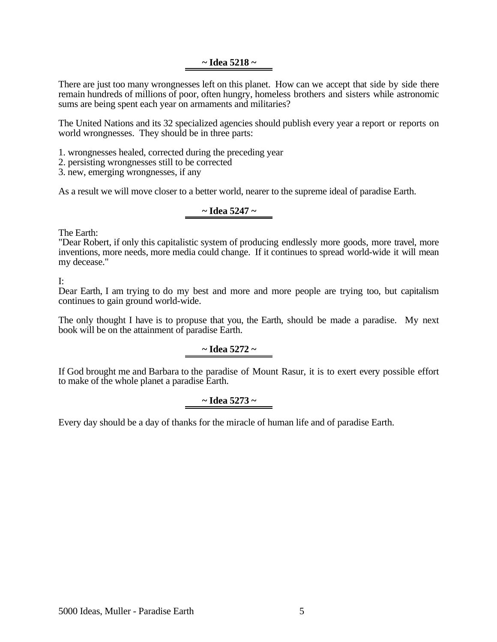#### **~ Idea 5218 ~**

There are just too many wrongnesses left on this planet. How can we accept that side by side there remain hundreds of millions of poor, often hungry, homeless brothers and sisters while astronomic sums are being spent each year on armaments and militaries?

The United Nations and its 32 specialized agencies should publish every year a report or reports on world wrongnesses. They should be in three parts:

1. wrongnesses healed, corrected during the preceding year

2. persisting wrongnesses still to be corrected

3. new, emerging wrongnesses, if any

As a result we will move closer to a better world, nearer to the supreme ideal of paradise Earth.

#### **~ Idea 5247 ~**

The Earth:

"Dear Robert, if only this capitalistic system of producing endlessly more goods, more travel, more inventions, more needs, more media could change. If it continues to spread world-wide it will mean my decease."

I:

Dear Earth, I am trying to do my best and more and more people are trying too, but capitalism continues to gain ground world-wide.

The only thought I have is to propuse that you, the Earth, should be made a paradise. My next book will be on the attainment of paradise Earth.

**~ Idea 5272 ~**

If God brought me and Barbara to the paradise of Mount Rasur, it is to exert every possible effort to make of the whole planet a paradise Earth.

# **~ Idea 5273 ~**

Every day should be a day of thanks for the miracle of human life and of paradise Earth.